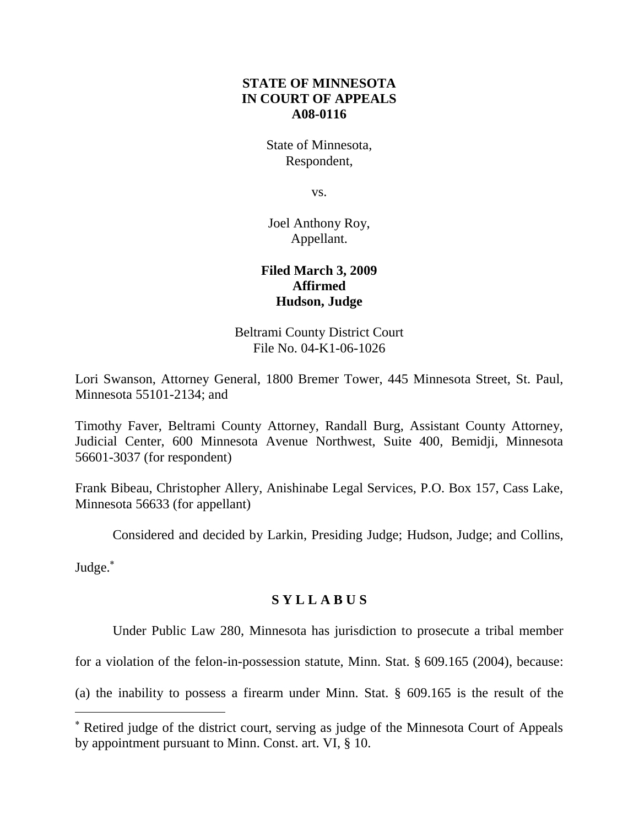# **STATE OF MINNESOTA IN COURT OF APPEALS A08-0116**

State of Minnesota, Respondent,

vs.

Joel Anthony Roy, Appellant.

# **Filed March 3, 2009 Affirmed Hudson, Judge**

Beltrami County District Court File No. 04-K1-06-1026

Lori Swanson, Attorney General, 1800 Bremer Tower, 445 Minnesota Street, St. Paul, Minnesota 55101-2134; and

Timothy Faver, Beltrami County Attorney, Randall Burg, Assistant County Attorney, Judicial Center, 600 Minnesota Avenue Northwest, Suite 400, Bemidji, Minnesota 56601-3037 (for respondent)

Frank Bibeau, Christopher Allery, Anishinabe Legal Services, P.O. Box 157, Cass Lake, Minnesota 56633 (for appellant)

Considered and decided by Larkin, Presiding Judge; Hudson, Judge; and Collins,

Judge.

# **S Y L L A B U S**

Under Public Law 280, Minnesota has jurisdiction to prosecute a tribal member

for a violation of the felon-in-possession statute, Minn. Stat. § 609.165 (2004), because:

(a) the inability to possess a firearm under Minn. Stat. § 609.165 is the result of the

Retired judge of the district court, serving as judge of the Minnesota Court of Appeals by appointment pursuant to Minn. Const. art. VI, § 10.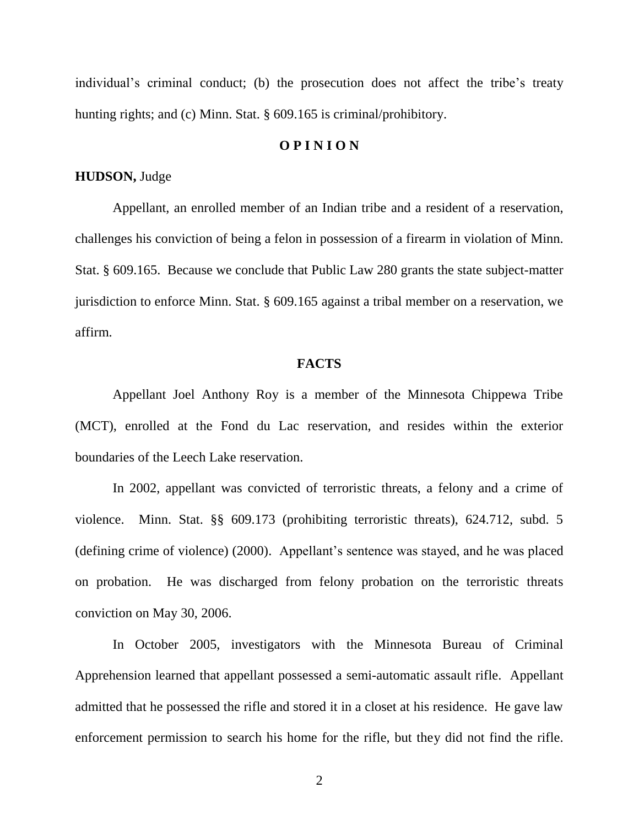individual's criminal conduct; (b) the prosecution does not affect the tribe's treaty hunting rights; and (c) Minn. Stat. § 609.165 is criminal/prohibitory.

#### **O P I N I O N**

### **HUDSON,** Judge

Appellant, an enrolled member of an Indian tribe and a resident of a reservation, challenges his conviction of being a felon in possession of a firearm in violation of Minn. Stat. § 609.165. Because we conclude that Public Law 280 grants the state subject-matter jurisdiction to enforce Minn. Stat. § 609.165 against a tribal member on a reservation, we affirm.

#### **FACTS**

Appellant Joel Anthony Roy is a member of the Minnesota Chippewa Tribe (MCT), enrolled at the Fond du Lac reservation, and resides within the exterior boundaries of the Leech Lake reservation.

In 2002, appellant was convicted of terroristic threats, a felony and a crime of violence. Minn. Stat. §§ 609.173 (prohibiting terroristic threats), 624.712, subd. 5 (defining crime of violence) (2000). Appellant"s sentence was stayed, and he was placed on probation. He was discharged from felony probation on the terroristic threats conviction on May 30, 2006.

In October 2005, investigators with the Minnesota Bureau of Criminal Apprehension learned that appellant possessed a semi-automatic assault rifle. Appellant admitted that he possessed the rifle and stored it in a closet at his residence. He gave law enforcement permission to search his home for the rifle, but they did not find the rifle.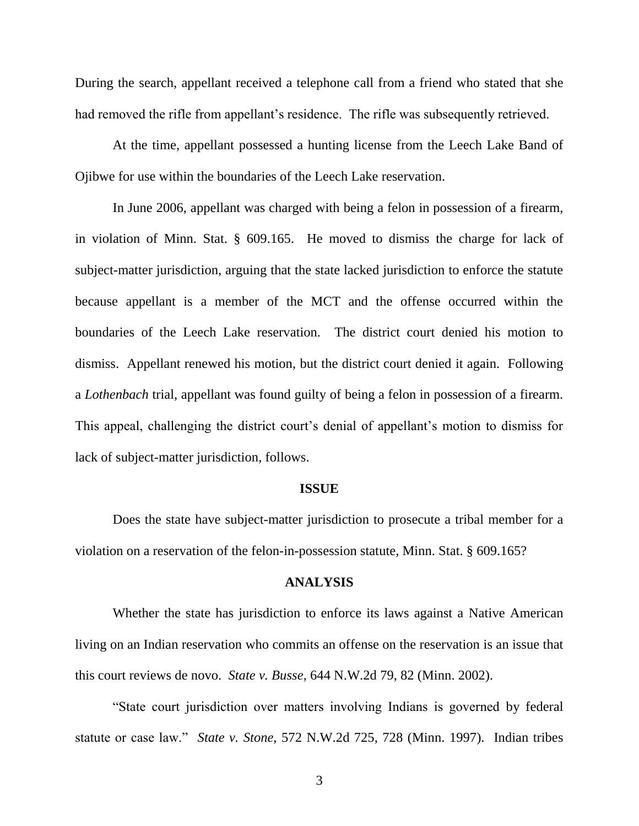During the search, appellant received a telephone call from a friend who stated that she had removed the rifle from appellant's residence. The rifle was subsequently retrieved.

At the time, appellant possessed a hunting license from the Leech Lake Band of Ojibwe for use within the boundaries of the Leech Lake reservation.

In June 2006, appellant was charged with being a felon in possession of a firearm, in violation of Minn. Stat. § 609.165. He moved to dismiss the charge for lack of subject-matter jurisdiction, arguing that the state lacked jurisdiction to enforce the statute because appellant is a member of the MCT and the offense occurred within the boundaries of the Leech Lake reservation. The district court denied his motion to dismiss. Appellant renewed his motion, but the district court denied it again. Following a *Lothenbach* trial, appellant was found guilty of being a felon in possession of a firearm. This appeal, challenging the district court's denial of appellant's motion to dismiss for lack of subject-matter jurisdiction, follows.

#### **ISSUE**

Does the state have subject-matter jurisdiction to prosecute a tribal member for a violation on a reservation of the felon-in-possession statute, Minn. Stat. § 609.165?

#### **ANALYSIS**

Whether the state has jurisdiction to enforce its laws against a Native American living on an Indian reservation who commits an offense on the reservation is an issue that this court reviews de novo. *State v. Busse*, 644 N.W.2d 79, 82 (Minn. 2002).

"State court jurisdiction over matters involving Indians is governed by federal statute or case law." *State v. Stone*, 572 N.W.2d 725, 728 (Minn. 1997). Indian tribes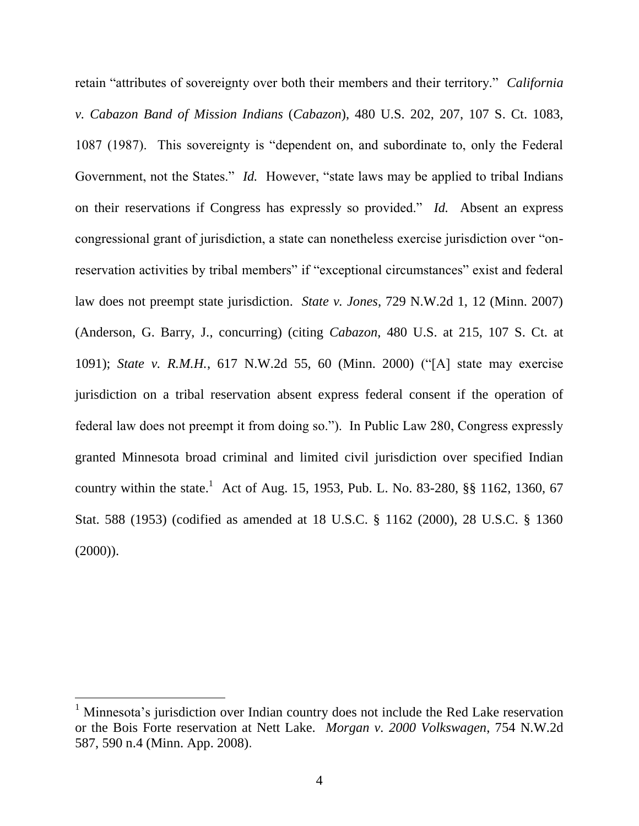retain "attributes of sovereignty over both their members and their territory." *California v. Cabazon Band of Mission Indians* (*Cabazon*), 480 U.S. 202, 207, 107 S. Ct. 1083, 1087 (1987). This sovereignty is "dependent on, and subordinate to, only the Federal Government, not the States." *Id.* However, "state laws may be applied to tribal Indians on their reservations if Congress has expressly so provided." *Id.* Absent an express congressional grant of jurisdiction, a state can nonetheless exercise jurisdiction over "onreservation activities by tribal members" if "exceptional circumstances" exist and federal law does not preempt state jurisdiction. *State v. Jones*, 729 N.W.2d 1, 12 (Minn. 2007) (Anderson, G. Barry, J., concurring) (citing *Cabazon*, 480 U.S. at 215, 107 S. Ct. at 1091); *State v. R.M.H.*, 617 N.W.2d 55, 60 (Minn. 2000) ("[A] state may exercise jurisdiction on a tribal reservation absent express federal consent if the operation of federal law does not preempt it from doing so."). In Public Law 280, Congress expressly granted Minnesota broad criminal and limited civil jurisdiction over specified Indian country within the state.<sup>1</sup> Act of Aug. 15, 1953, Pub. L. No. 83-280, §§ 1162, 1360, 67 Stat. 588 (1953) (codified as amended at 18 U.S.C. § 1162 (2000), 28 U.S.C. § 1360  $(2000)$ ).

<sup>&</sup>lt;sup>1</sup> Minnesota's jurisdiction over Indian country does not include the Red Lake reservation or the Bois Forte reservation at Nett Lake. *Morgan v. 2000 Volkswagen*, 754 N.W.2d 587, 590 n.4 (Minn. App. 2008).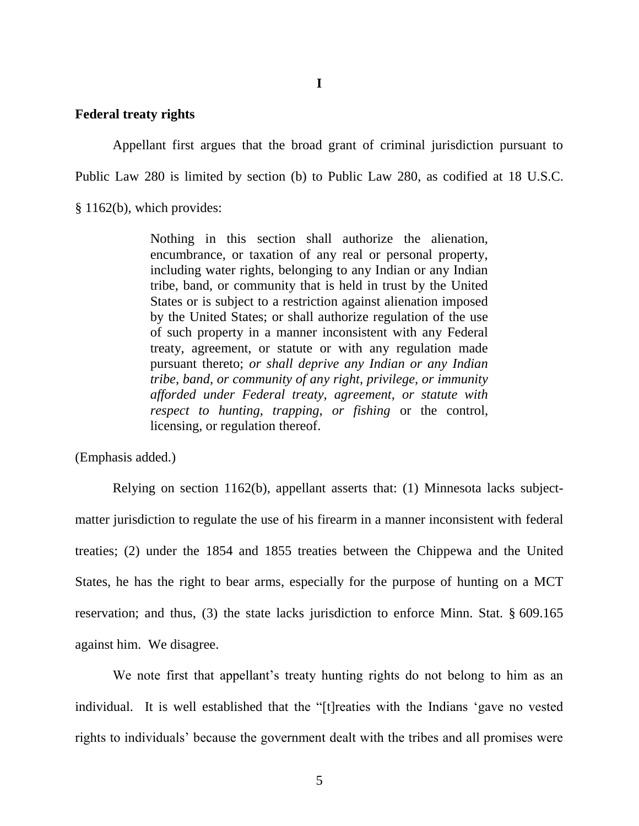**I**

### **Federal treaty rights**

Appellant first argues that the broad grant of criminal jurisdiction pursuant to Public Law 280 is limited by section (b) to Public Law 280, as codified at 18 U.S.C. § 1162(b), which provides:

> Nothing in this section shall authorize the alienation, encumbrance, or taxation of any real or personal property, including water rights, belonging to any Indian or any Indian tribe, band, or community that is held in trust by the United States or is subject to a restriction against alienation imposed by the United States; or shall authorize regulation of the use of such property in a manner inconsistent with any Federal treaty, agreement, or statute or with any regulation made pursuant thereto; *or shall deprive any Indian or any Indian tribe, band, or community of any right, privilege, or immunity afforded under Federal treaty, agreement, or statute with respect to hunting, trapping, or fishing* or the control, licensing, or regulation thereof.

(Emphasis added.)

Relying on section 1162(b), appellant asserts that: (1) Minnesota lacks subjectmatter jurisdiction to regulate the use of his firearm in a manner inconsistent with federal treaties; (2) under the 1854 and 1855 treaties between the Chippewa and the United States, he has the right to bear arms, especially for the purpose of hunting on a MCT reservation; and thus, (3) the state lacks jurisdiction to enforce Minn. Stat. § 609.165 against him. We disagree.

We note first that appellant's treaty hunting rights do not belong to him as an individual. It is well established that the "[t]reaties with the Indians "gave no vested rights to individuals" because the government dealt with the tribes and all promises were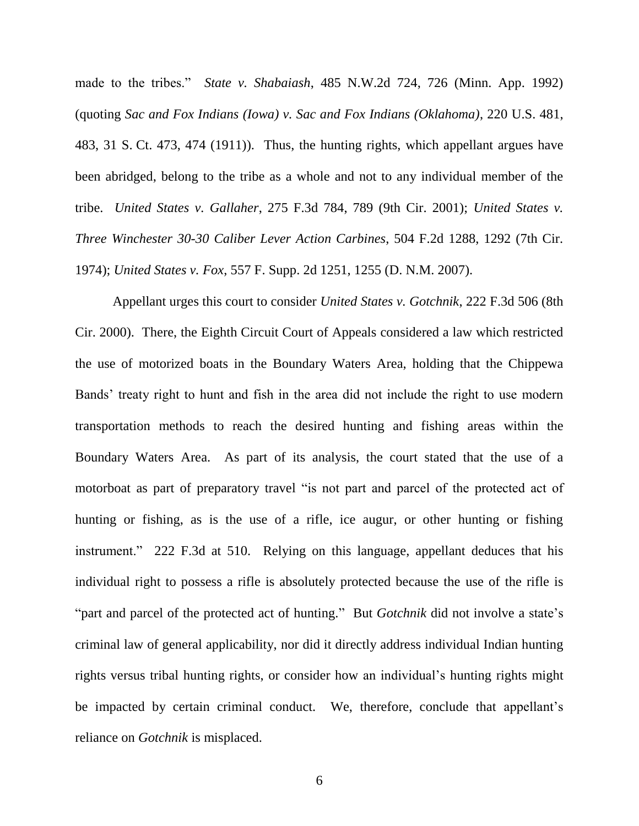made to the tribes." *State v. Shabaiash*, 485 N.W.2d 724, 726 (Minn. App. 1992) (quoting *Sac and Fox Indians (Iowa) v. Sac and Fox Indians (Oklahoma)*, 220 U.S. 481, 483, 31 S. Ct. 473, 474 (1911)). Thus, the hunting rights, which appellant argues have been abridged, belong to the tribe as a whole and not to any individual member of the tribe. *United States v. Gallaher*, 275 F.3d 784, 789 (9th Cir. 2001); *United States v. Three Winchester 30-30 Caliber Lever Action Carbines*, 504 F.2d 1288, 1292 (7th Cir. 1974); *United States v. Fox*, 557 F. Supp. 2d 1251, 1255 (D. N.M. 2007).

Appellant urges this court to consider *United States v. Gotchnik*, 222 F.3d 506 (8th Cir. 2000). There, the Eighth Circuit Court of Appeals considered a law which restricted the use of motorized boats in the Boundary Waters Area, holding that the Chippewa Bands" treaty right to hunt and fish in the area did not include the right to use modern transportation methods to reach the desired hunting and fishing areas within the Boundary Waters Area. As part of its analysis, the court stated that the use of a motorboat as part of preparatory travel "is not part and parcel of the protected act of hunting or fishing, as is the use of a rifle, ice augur, or other hunting or fishing instrument." 222 F.3d at 510. Relying on this language, appellant deduces that his individual right to possess a rifle is absolutely protected because the use of the rifle is "part and parcel of the protected act of hunting." But *Gotchnik* did not involve a state's criminal law of general applicability, nor did it directly address individual Indian hunting rights versus tribal hunting rights, or consider how an individual"s hunting rights might be impacted by certain criminal conduct. We, therefore, conclude that appellant's reliance on *Gotchnik* is misplaced.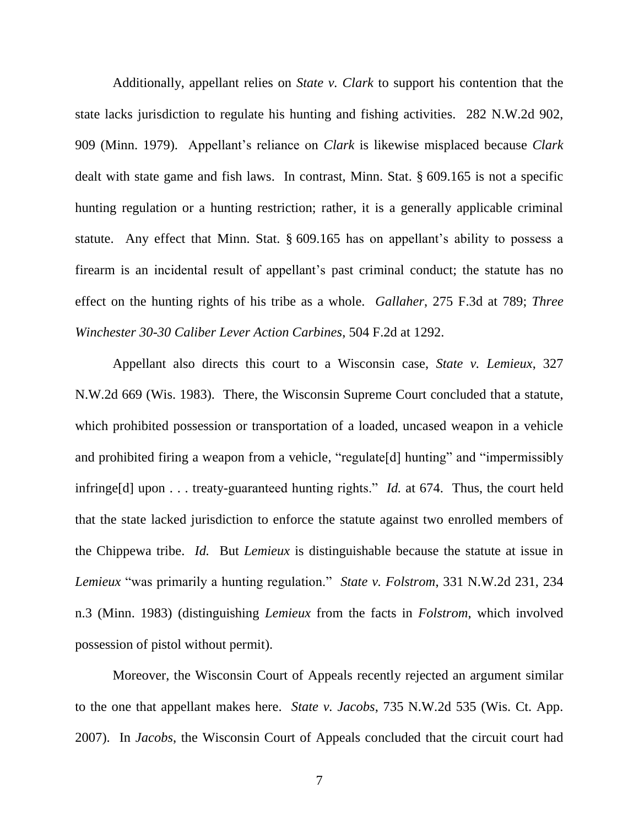Additionally, appellant relies on *State v. Clark* to support his contention that the state lacks jurisdiction to regulate his hunting and fishing activities. 282 N.W.2d 902, 909 (Minn. 1979). Appellant"s reliance on *Clark* is likewise misplaced because *Clark*  dealt with state game and fish laws. In contrast, Minn. Stat. § 609.165 is not a specific hunting regulation or a hunting restriction; rather, it is a generally applicable criminal statute. Any effect that Minn. Stat.  $\S 609.165$  has on appellant's ability to possess a firearm is an incidental result of appellant's past criminal conduct; the statute has no effect on the hunting rights of his tribe as a whole. *Gallaher*, 275 F.3d at 789; *Three Winchester 30-30 Caliber Lever Action Carbines*, 504 F.2d at 1292.

Appellant also directs this court to a Wisconsin case, *State v. Lemieux*, 327 N.W.2d 669 (Wis. 1983). There, the Wisconsin Supreme Court concluded that a statute, which prohibited possession or transportation of a loaded, uncased weapon in a vehicle and prohibited firing a weapon from a vehicle, "regulate [d] hunting" and "impermissibly infringe[d] upon . . . treaty-guaranteed hunting rights." *Id.* at 674. Thus, the court held that the state lacked jurisdiction to enforce the statute against two enrolled members of the Chippewa tribe. *Id.* But *Lemieux* is distinguishable because the statute at issue in *Lemieux* "was primarily a hunting regulation." *State v. Folstrom*, 331 N.W.2d 231, 234 n.3 (Minn. 1983) (distinguishing *Lemieux* from the facts in *Folstrom*, which involved possession of pistol without permit).

Moreover, the Wisconsin Court of Appeals recently rejected an argument similar to the one that appellant makes here. *State v. Jacobs*, 735 N.W.2d 535 (Wis. Ct. App. 2007). In *Jacobs*, the Wisconsin Court of Appeals concluded that the circuit court had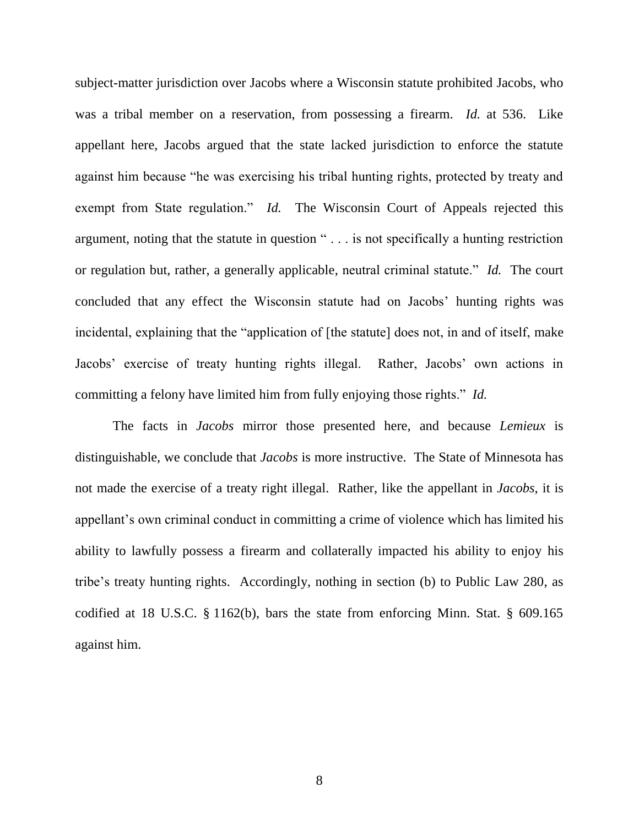subject-matter jurisdiction over Jacobs where a Wisconsin statute prohibited Jacobs, who was a tribal member on a reservation, from possessing a firearm. *Id.* at 536. Like appellant here, Jacobs argued that the state lacked jurisdiction to enforce the statute against him because "he was exercising his tribal hunting rights, protected by treaty and exempt from State regulation." *Id.* The Wisconsin Court of Appeals rejected this argument, noting that the statute in question " . . . is not specifically a hunting restriction or regulation but, rather, a generally applicable, neutral criminal statute." *Id.* The court concluded that any effect the Wisconsin statute had on Jacobs" hunting rights was incidental, explaining that the "application of [the statute] does not, in and of itself, make Jacobs' exercise of treaty hunting rights illegal. Rather, Jacobs' own actions in committing a felony have limited him from fully enjoying those rights." *Id.*

The facts in *Jacobs* mirror those presented here, and because *Lemieux* is distinguishable, we conclude that *Jacobs* is more instructive. The State of Minnesota has not made the exercise of a treaty right illegal. Rather, like the appellant in *Jacobs*, it is appellant's own criminal conduct in committing a crime of violence which has limited his ability to lawfully possess a firearm and collaterally impacted his ability to enjoy his tribe"s treaty hunting rights. Accordingly, nothing in section (b) to Public Law 280, as codified at 18 U.S.C. § 1162(b), bars the state from enforcing Minn. Stat. § 609.165 against him.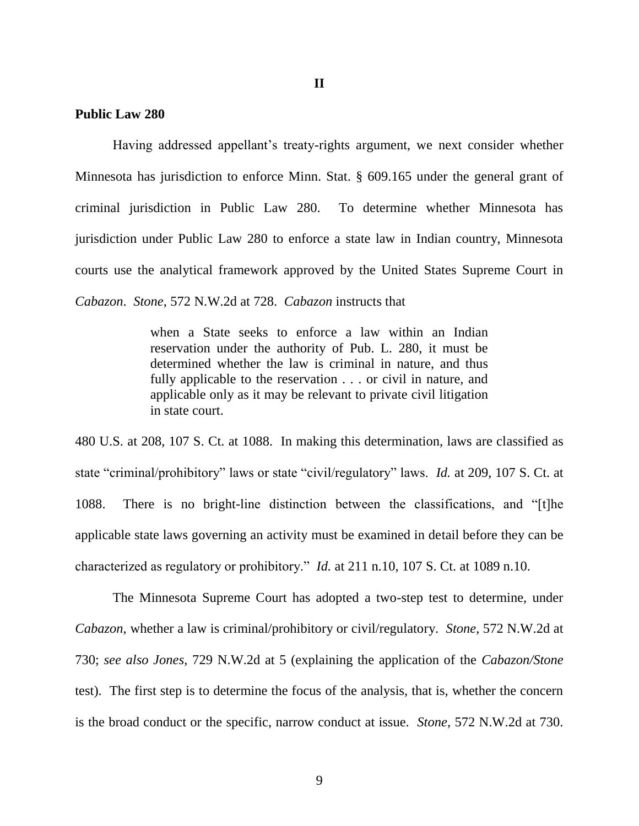#### **Public Law 280**

Having addressed appellant"s treaty-rights argument, we next consider whether Minnesota has jurisdiction to enforce Minn. Stat. § 609.165 under the general grant of criminal jurisdiction in Public Law 280. To determine whether Minnesota has jurisdiction under Public Law 280 to enforce a state law in Indian country, Minnesota courts use the analytical framework approved by the United States Supreme Court in *Cabazon*. *Stone*, 572 N.W.2d at 728. *Cabazon* instructs that

> when a State seeks to enforce a law within an Indian reservation under the authority of Pub. L. 280, it must be determined whether the law is criminal in nature, and thus fully applicable to the reservation . . . or civil in nature, and applicable only as it may be relevant to private civil litigation in state court.

480 U.S. at 208, 107 S. Ct. at 1088. In making this determination, laws are classified as state "criminal/prohibitory" laws or state "civil/regulatory" laws. *Id.* at 209, 107 S. Ct. at 1088. There is no bright-line distinction between the classifications, and "[t]he applicable state laws governing an activity must be examined in detail before they can be characterized as regulatory or prohibitory." *Id.* at 211 n.10, 107 S. Ct. at 1089 n.10.

The Minnesota Supreme Court has adopted a two-step test to determine, under *Cabazon*, whether a law is criminal/prohibitory or civil/regulatory. *Stone*, 572 N.W.2d at 730; *see also Jones*, 729 N.W.2d at 5 (explaining the application of the *Cabazon/Stone* test). The first step is to determine the focus of the analysis, that is, whether the concern is the broad conduct or the specific, narrow conduct at issue. *Stone*, 572 N.W.2d at 730.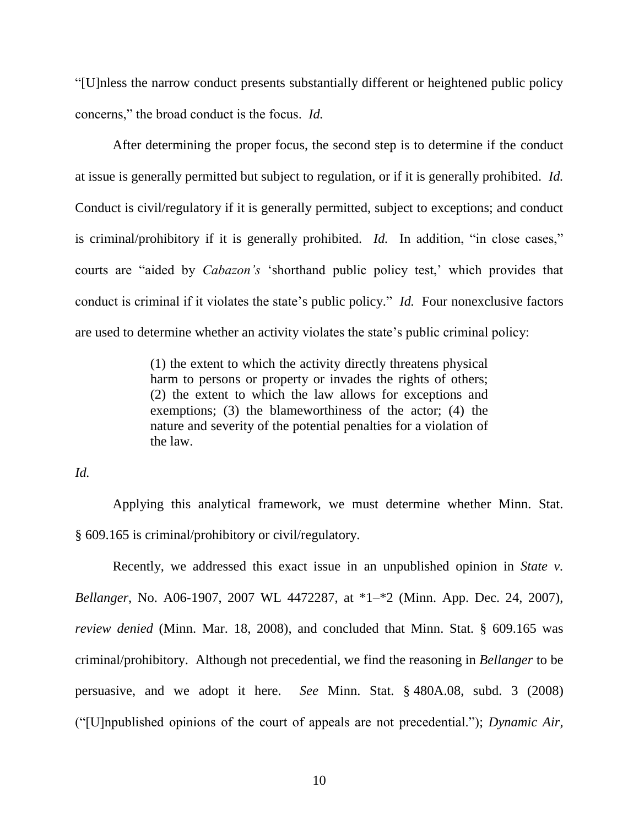"[U]nless the narrow conduct presents substantially different or heightened public policy concerns," the broad conduct is the focus. *Id.* 

After determining the proper focus, the second step is to determine if the conduct at issue is generally permitted but subject to regulation, or if it is generally prohibited. *Id.* Conduct is civil/regulatory if it is generally permitted, subject to exceptions; and conduct is criminal/prohibitory if it is generally prohibited. *Id.* In addition, "in close cases," courts are "aided by *Cabazon's* 'shorthand public policy test,' which provides that conduct is criminal if it violates the state"s public policy." *Id.* Four nonexclusive factors are used to determine whether an activity violates the state's public criminal policy:

> (1) the extent to which the activity directly threatens physical harm to persons or property or invades the rights of others; (2) the extent to which the law allows for exceptions and exemptions; (3) the blameworthiness of the actor; (4) the nature and severity of the potential penalties for a violation of the law.

*Id.* 

Applying this analytical framework, we must determine whether Minn. Stat. § 609.165 is criminal/prohibitory or civil/regulatory.

Recently, we addressed this exact issue in an unpublished opinion in *State v. Bellanger*, No. A06-1907, 2007 WL 4472287, at \*1–\*2 (Minn. App. Dec. 24, 2007), *review denied* (Minn. Mar. 18, 2008), and concluded that Minn. Stat. § 609.165 was criminal/prohibitory. Although not precedential, we find the reasoning in *Bellanger* to be persuasive, and we adopt it here. *See* Minn. Stat. § 480A.08, subd. 3 (2008) ("[U]npublished opinions of the court of appeals are not precedential."); *Dynamic Air,*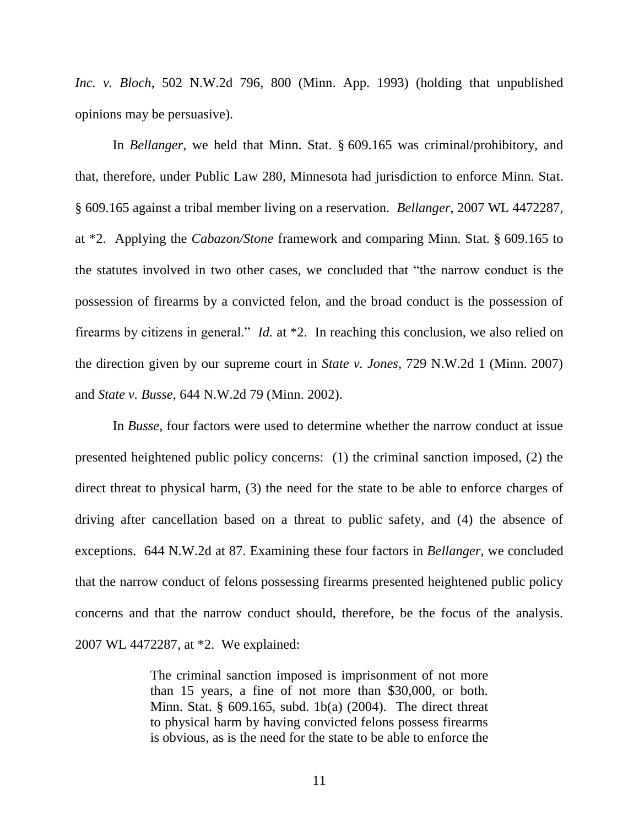*Inc. v. Bloch*, 502 N.W.2d 796, 800 (Minn. App. 1993) (holding that unpublished opinions may be persuasive).

In *Bellanger*, we held that Minn. Stat. § 609.165 was criminal/prohibitory, and that, therefore, under Public Law 280, Minnesota had jurisdiction to enforce Minn. Stat. § 609.165 against a tribal member living on a reservation. *Bellanger*, 2007 WL 4472287, at \*2. Applying the *Cabazon/Stone* framework and comparing Minn. Stat. § 609.165 to the statutes involved in two other cases, we concluded that "the narrow conduct is the possession of firearms by a convicted felon, and the broad conduct is the possession of firearms by citizens in general." *Id.* at \*2. In reaching this conclusion, we also relied on the direction given by our supreme court in *State v. Jones*, 729 N.W.2d 1 (Minn. 2007) and *State v. Busse*, 644 N.W.2d 79 (Minn. 2002).

In *Busse*, four factors were used to determine whether the narrow conduct at issue presented heightened public policy concerns: (1) the criminal sanction imposed, (2) the direct threat to physical harm, (3) the need for the state to be able to enforce charges of driving after cancellation based on a threat to public safety, and (4) the absence of exceptions. 644 N.W.2d at 87. Examining these four factors in *Bellanger*, we concluded that the narrow conduct of felons possessing firearms presented heightened public policy concerns and that the narrow conduct should, therefore, be the focus of the analysis. 2007 WL 4472287, at \*2. We explained:

> The criminal sanction imposed is imprisonment of not more than 15 years, a fine of not more than \$30,000, or both. Minn. Stat. § 609.165, subd. 1b(a) (2004). The direct threat to physical harm by having convicted felons possess firearms is obvious, as is the need for the state to be able to enforce the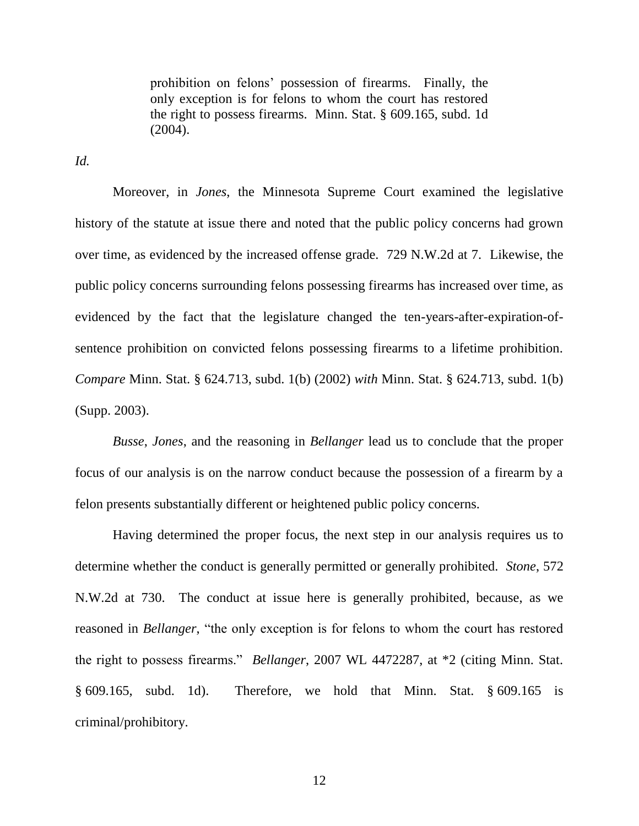prohibition on felons" possession of firearms. Finally, the only exception is for felons to whom the court has restored the right to possess firearms. Minn. Stat. § 609.165, subd. 1d (2004).

*Id.* 

Moreover, in *Jones*, the Minnesota Supreme Court examined the legislative history of the statute at issue there and noted that the public policy concerns had grown over time, as evidenced by the increased offense grade. 729 N.W.2d at 7. Likewise, the public policy concerns surrounding felons possessing firearms has increased over time, as evidenced by the fact that the legislature changed the ten-years-after-expiration-ofsentence prohibition on convicted felons possessing firearms to a lifetime prohibition. *Compare* Minn. Stat. § 624.713, subd. 1(b) (2002) *with* Minn. Stat. § 624.713, subd. 1(b) (Supp. 2003).

*Busse*, *Jones*, and the reasoning in *Bellanger* lead us to conclude that the proper focus of our analysis is on the narrow conduct because the possession of a firearm by a felon presents substantially different or heightened public policy concerns.

Having determined the proper focus, the next step in our analysis requires us to determine whether the conduct is generally permitted or generally prohibited. *Stone*, 572 N.W.2d at 730. The conduct at issue here is generally prohibited, because, as we reasoned in *Bellanger*, "the only exception is for felons to whom the court has restored the right to possess firearms." *Bellanger*, 2007 WL 4472287, at \*2 (citing Minn. Stat. § 609.165, subd. 1d). Therefore, we hold that Minn. Stat. § 609.165 is criminal/prohibitory.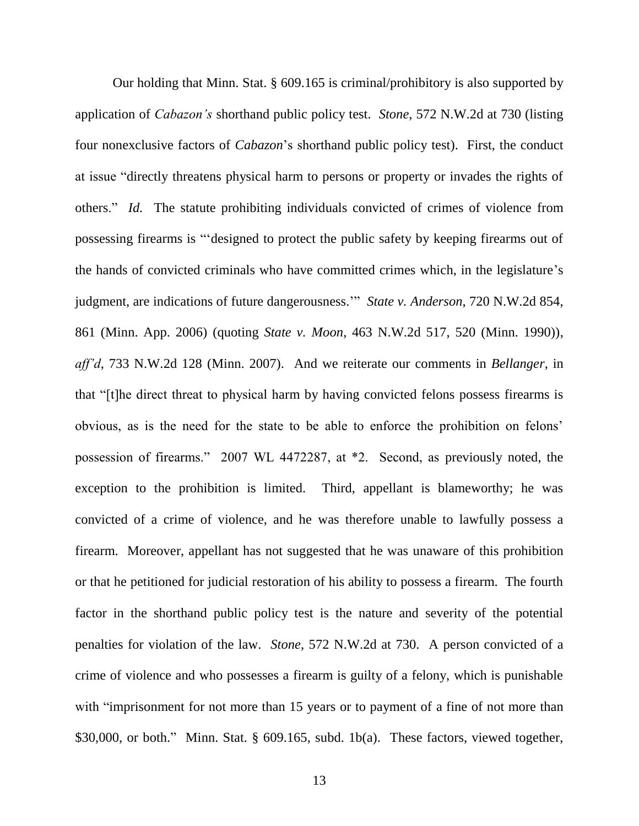Our holding that Minn. Stat. § 609.165 is criminal/prohibitory is also supported by application of *Cabazon's* shorthand public policy test. *Stone*, 572 N.W.2d at 730 (listing four nonexclusive factors of *Cabazon*"s shorthand public policy test). First, the conduct at issue "directly threatens physical harm to persons or property or invades the rights of others." *Id.* The statute prohibiting individuals convicted of crimes of violence from possessing firearms is ""designed to protect the public safety by keeping firearms out of the hands of convicted criminals who have committed crimes which, in the legislature"s judgment, are indications of future dangerousness."" *State v. Anderson*, 720 N.W.2d 854, 861 (Minn. App. 2006) (quoting *State v. Moon*, 463 N.W.2d 517, 520 (Minn. 1990)), *aff'd*, 733 N.W.2d 128 (Minn. 2007). And we reiterate our comments in *Bellanger*, in that "[t]he direct threat to physical harm by having convicted felons possess firearms is obvious, as is the need for the state to be able to enforce the prohibition on felons" possession of firearms." 2007 WL 4472287, at \*2. Second, as previously noted, the exception to the prohibition is limited. Third, appellant is blameworthy; he was convicted of a crime of violence, and he was therefore unable to lawfully possess a firearm. Moreover, appellant has not suggested that he was unaware of this prohibition or that he petitioned for judicial restoration of his ability to possess a firearm. The fourth factor in the shorthand public policy test is the nature and severity of the potential penalties for violation of the law. *Stone*, 572 N.W.2d at 730. A person convicted of a crime of violence and who possesses a firearm is guilty of a felony, which is punishable with "imprisonment for not more than 15 years or to payment of a fine of not more than \$30,000, or both." Minn. Stat. § 609.165, subd. 1b(a). These factors, viewed together,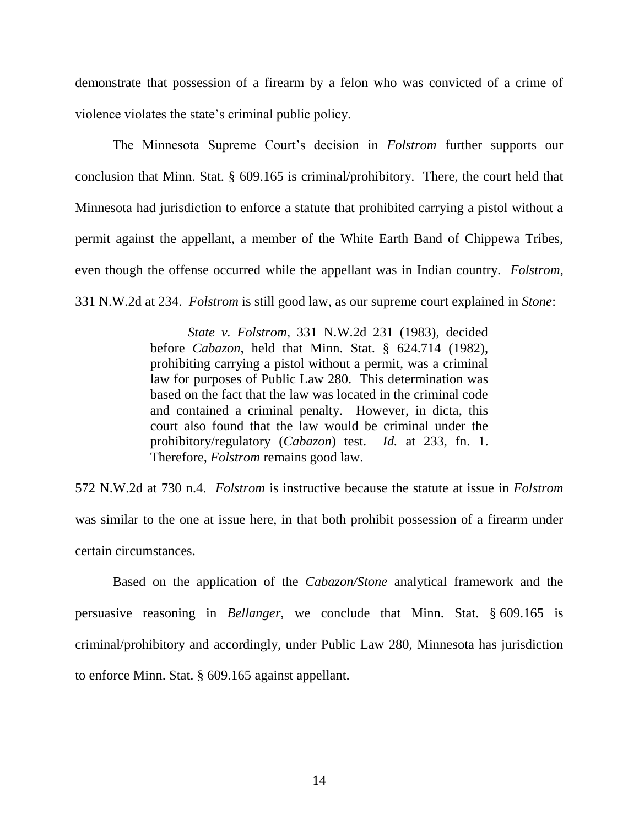demonstrate that possession of a firearm by a felon who was convicted of a crime of violence violates the state"s criminal public policy.

The Minnesota Supreme Court"s decision in *Folstrom* further supports our conclusion that Minn. Stat. § 609.165 is criminal/prohibitory. There, the court held that Minnesota had jurisdiction to enforce a statute that prohibited carrying a pistol without a permit against the appellant, a member of the White Earth Band of Chippewa Tribes, even though the offense occurred while the appellant was in Indian country. *Folstrom*, 331 N.W.2d at 234. *Folstrom* is still good law, as our supreme court explained in *Stone*:

> *State v. Folstrom*, 331 N.W.2d 231 (1983), decided before *Cabazon*, held that Minn. Stat. § 624.714 (1982), prohibiting carrying a pistol without a permit, was a criminal law for purposes of Public Law 280. This determination was based on the fact that the law was located in the criminal code and contained a criminal penalty. However, in dicta, this court also found that the law would be criminal under the prohibitory/regulatory (*Cabazon*) test. *Id.* at 233, fn. 1. Therefore, *Folstrom* remains good law.

572 N.W.2d at 730 n.4. *Folstrom* is instructive because the statute at issue in *Folstrom* was similar to the one at issue here, in that both prohibit possession of a firearm under certain circumstances.

Based on the application of the *Cabazon/Stone* analytical framework and the persuasive reasoning in *Bellanger*, we conclude that Minn. Stat. § 609.165 is criminal/prohibitory and accordingly, under Public Law 280, Minnesota has jurisdiction to enforce Minn. Stat. § 609.165 against appellant.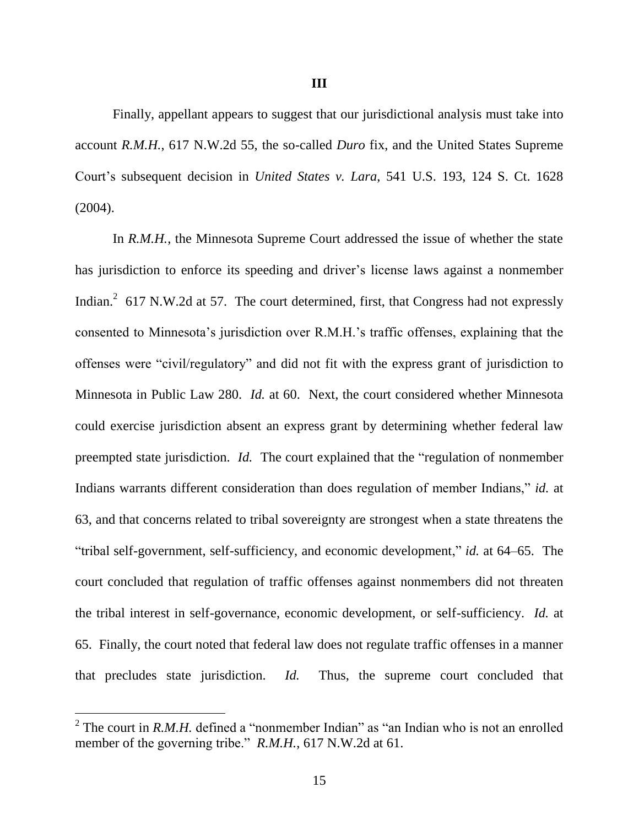Finally, appellant appears to suggest that our jurisdictional analysis must take into account *R.M.H.*, 617 N.W.2d 55, the so-called *Duro* fix, and the United States Supreme Court"s subsequent decision in *United States v. Lara*, 541 U.S. 193, 124 S. Ct. 1628 (2004).

In *R.M.H.*, the Minnesota Supreme Court addressed the issue of whether the state has jurisdiction to enforce its speeding and driver's license laws against a nonmember Indian.<sup>2</sup> 617 N.W.2d at 57. The court determined, first, that Congress had not expressly consented to Minnesota"s jurisdiction over R.M.H."s traffic offenses, explaining that the offenses were "civil/regulatory" and did not fit with the express grant of jurisdiction to Minnesota in Public Law 280. *Id.* at 60. Next, the court considered whether Minnesota could exercise jurisdiction absent an express grant by determining whether federal law preempted state jurisdiction. *Id.* The court explained that the "regulation of nonmember Indians warrants different consideration than does regulation of member Indians," *id.* at 63, and that concerns related to tribal sovereignty are strongest when a state threatens the "tribal self-government, self-sufficiency, and economic development," *id.* at 64–65. The court concluded that regulation of traffic offenses against nonmembers did not threaten the tribal interest in self-governance, economic development, or self-sufficiency. *Id.* at 65. Finally, the court noted that federal law does not regulate traffic offenses in a manner that precludes state jurisdiction. *Id.* Thus, the supreme court concluded that

 $\overline{a}$ 

<sup>&</sup>lt;sup>2</sup> The court in *R.M.H.* defined a "nonmember Indian" as "an Indian who is not an enrolled member of the governing tribe." *R.M.H.*, 617 N.W.2d at 61.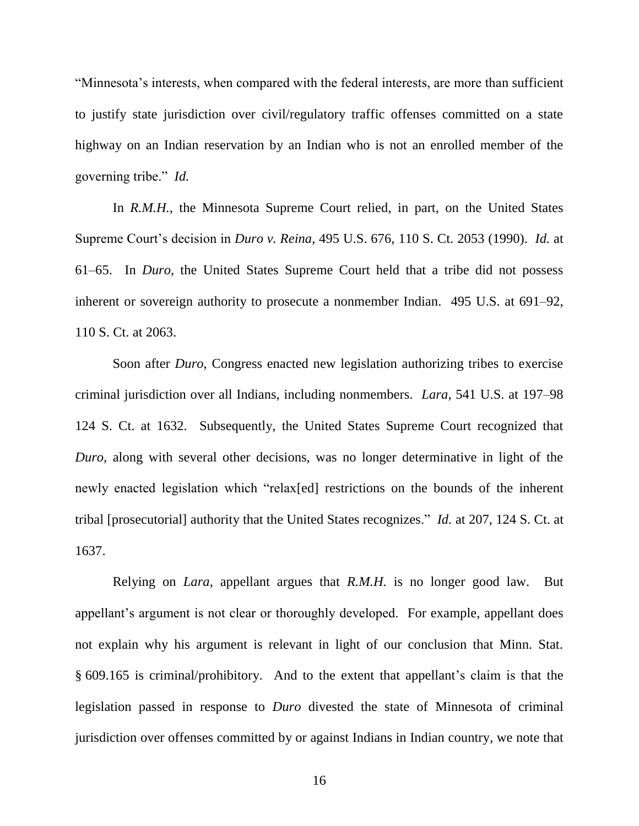"Minnesota"s interests, when compared with the federal interests, are more than sufficient to justify state jurisdiction over civil/regulatory traffic offenses committed on a state highway on an Indian reservation by an Indian who is not an enrolled member of the governing tribe." *Id.*

In *R.M.H.*, the Minnesota Supreme Court relied, in part, on the United States Supreme Court"s decision in *Duro v. Reina*, 495 U.S. 676, 110 S. Ct. 2053 (1990). *Id.* at 61–65. In *Duro*, the United States Supreme Court held that a tribe did not possess inherent or sovereign authority to prosecute a nonmember Indian. 495 U.S. at 691–92, 110 S. Ct. at 2063.

Soon after *Duro*, Congress enacted new legislation authorizing tribes to exercise criminal jurisdiction over all Indians, including nonmembers. *Lara*, 541 U.S. at 197–98 124 S. Ct. at 1632. Subsequently, the United States Supreme Court recognized that *Duro*, along with several other decisions, was no longer determinative in light of the newly enacted legislation which "relax[ed] restrictions on the bounds of the inherent tribal [prosecutorial] authority that the United States recognizes." *Id.* at 207, 124 S. Ct. at 1637.

Relying on *Lara*, appellant argues that *R.M.H.* is no longer good law. But appellant's argument is not clear or thoroughly developed. For example, appellant does not explain why his argument is relevant in light of our conclusion that Minn. Stat. § 609.165 is criminal/prohibitory. And to the extent that appellant"s claim is that the legislation passed in response to *Duro* divested the state of Minnesota of criminal jurisdiction over offenses committed by or against Indians in Indian country, we note that